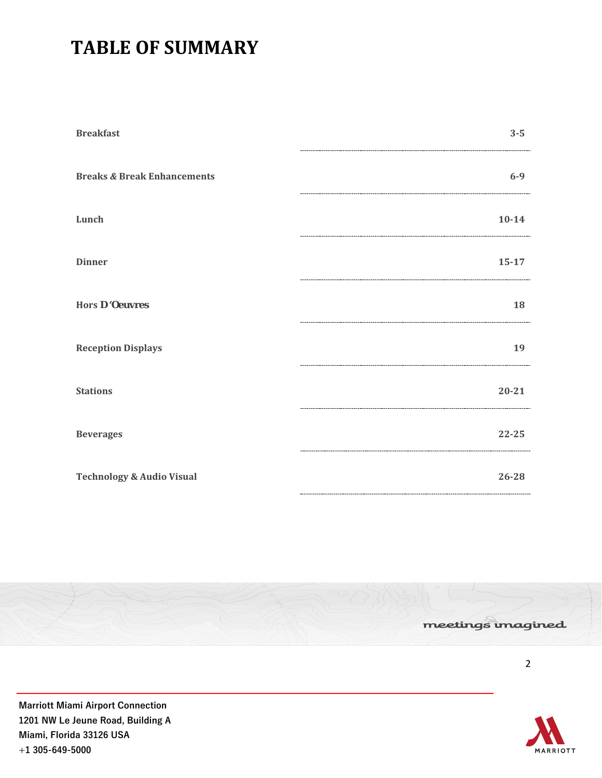# **TABLE OF SUMMARY**

| <b>Breakfast</b>                       | $3 - 5$   |
|----------------------------------------|-----------|
| <b>Breaks &amp; Break Enhancements</b> | $6 - 9$   |
| Lunch                                  | $10 - 14$ |
| <b>Dinner</b>                          | $15 - 17$ |
| Hors D 'Oeuvres                        | 18        |
| <b>Reception Displays</b>              | 19        |
| <b>Stations</b>                        | $20 - 21$ |
| <b>Beverages</b>                       | 22-25     |
| <b>Technology &amp; Audio Visual</b>   | 26-28     |



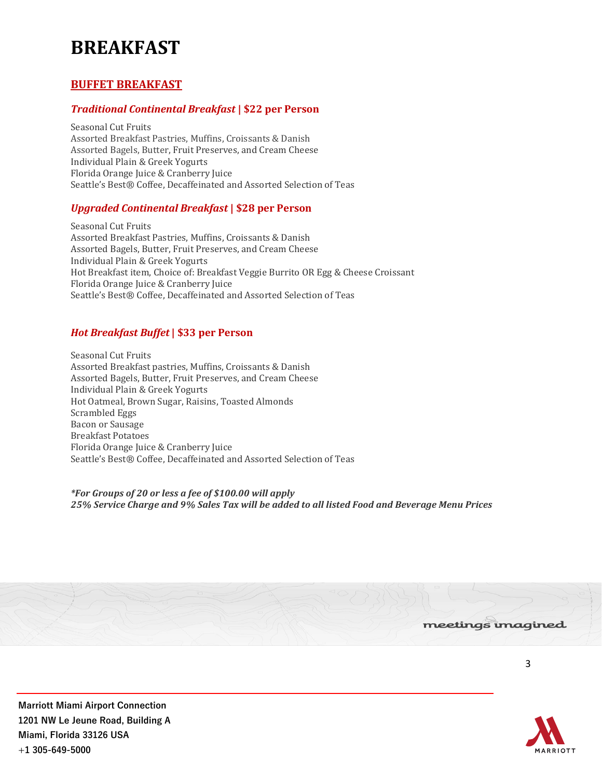# **BREAKFAST**

# **BUFFET BREAKFAST**

# *Traditional Continental Breakfast* **| \$22 per Person**

Seasonal Cut Fruits Assorted Breakfast Pastries, Muffins, Croissants & Danish Assorted Bagels, Butter, Fruit Preserves, and Cream Cheese Individual Plain & Greek Yogurts Florida Orange Juice & Cranberry Juice Seattle's Best® Coffee, Decaffeinated and Assorted Selection of Teas

# *Upgraded Continental Breakfast* **| \$28 per Person**

Seasonal Cut Fruits Assorted Breakfast Pastries, Muffins, Croissants & Danish Assorted Bagels, Butter, Fruit Preserves, and Cream Cheese Individual Plain & Greek Yogurts Hot Breakfast item, Choice of: Breakfast Veggie Burrito OR Egg & Cheese Croissant Florida Orange Juice & Cranberry Juice Seattle's Best® Coffee, Decaffeinated and Assorted Selection of Teas

# *Hot Breakfast Buffet* **| \$33 per Person**

Seasonal Cut Fruits Assorted Breakfast pastries, Muffins, Croissants & Danish Assorted Bagels, Butter, Fruit Preserves, and Cream Cheese Individual Plain & Greek Yogurts Hot Oatmeal, Brown Sugar, Raisins, Toasted Almonds Scrambled Eggs Bacon or Sausage Breakfast Potatoes Florida Orange Juice & Cranberry Juice Seattle's Best® Coffee, Decaffeinated and Assorted Selection of Teas

*\*For Groups of 20 or less a fee of \$100.00 will apply 25% Service Charge and 9% Sales Tax will be added to all listed Food and Beverage Menu Prices*



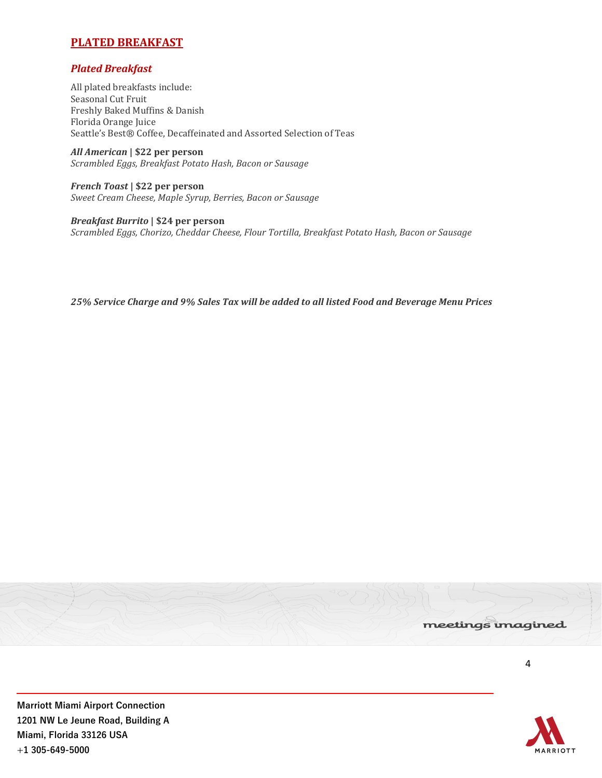# **PLATED BREAKFAST**

# *Plated Breakfast*

All plated breakfasts include: Seasonal Cut Fruit Freshly Baked Muffins & Danish Florida Orange Juice Seattle's Best® Coffee, Decaffeinated and Assorted Selection of Teas

*All American* **| \$22 per person** *Scrambled Eggs, Breakfast Potato Hash, Bacon or Sausage*

*French Toast* **| \$22 per person** *Sweet Cream Cheese, Maple Syrup, Berries, Bacon or Sausage*

*Breakfast Burrito* **| \$24 per person**  *Scrambled Eggs, Chorizo, Cheddar Cheese, Flour Tortilla, Breakfast Potato Hash, Bacon or Sausage*

*25% Service Charge and 9% Sales Tax will be added to all listed Food and Beverage Menu Prices* 



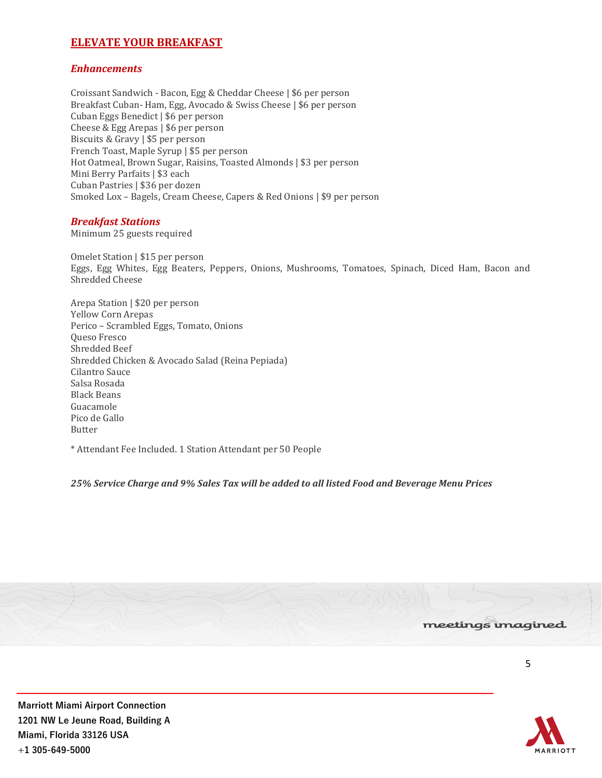# **ELEVATE YOUR BREAKFAST**

## *Enhancements*

Croissant Sandwich - Bacon, Egg & Cheddar Cheese | \$6 per person Breakfast Cuban- Ham, Egg, Avocado & Swiss Cheese | \$6 per person Cuban Eggs Benedict | \$6 per person Cheese & Egg Arepas | \$6 per person Biscuits & Gravy | \$5 per person French Toast, Maple Syrup | \$5 per person Hot Oatmeal, Brown Sugar, Raisins, Toasted Almonds | \$3 per person Mini Berry Parfaits | \$3 each Cuban Pastries | \$36 per dozen Smoked Lox – Bagels, Cream Cheese, Capers & Red Onions | \$9 per person

## *Breakfast Stations*

Minimum 25 guests required

Omelet Station | \$15 per person Eggs, Egg Whites, Egg Beaters, Peppers, Onions, Mushrooms, Tomatoes, Spinach, Diced Ham, Bacon and Shredded Cheese

Arepa Station | \$20 per person Yellow Corn Arepas Perico – Scrambled Eggs, Tomato, Onions Queso Fresco Shredded Beef Shredded Chicken & Avocado Salad (Reina Pepiada) Cilantro Sauce Salsa Rosada Black Beans Guacamole Pico de Gallo Butter

\* Attendant Fee Included. 1 Station Attendant per 50 People

*25% Service Charge and 9% Sales Tax will be added to all listed Food and Beverage Menu Prices* 



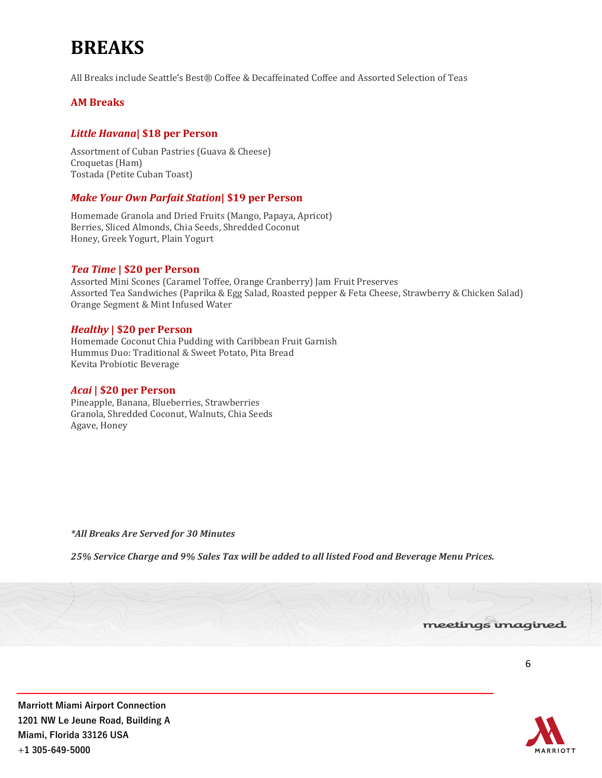# **BREAKS**

All Breaks include Seattle's Best® Coffee & Decaffeinated Coffee and Assorted Selection of Teas

# **AM Breaks**

# *Little Havana***| \$18 per Person**

Assortment of Cuban Pastries (Guava & Cheese) Croquetas (Ham) Tostada (Petite Cuban Toast)

# *Make Your Own Parfait Station***| \$19 per Person**

Homemade Granola and Dried Fruits (Mango, Papaya, Apricot) Berries, Sliced Almonds, Chia Seeds, Shredded Coconut Honey, Greek Yogurt, Plain Yogurt

## *Tea Time* **| \$20 per Person**

Assorted Mini Scones (Caramel Toffee, Orange Cranberry) Jam Fruit Preserves Assorted Tea Sandwiches (Paprika & Egg Salad, Roasted pepper & Feta Cheese, Strawberry & Chicken Salad) Orange Segment & Mint Infused Water

## *Healthy* **| \$20 per Person**

Homemade Coconut Chia Pudding with Caribbean Fruit Garnish Hummus Duo: Traditional & Sweet Potato, Pita Bread Kevita Probiotic Beverage

### *Acai* **| \$20 per Person**

Pineapple, Banana, Blueberries, Strawberries Granola, Shredded Coconut, Walnuts, Chia Seeds Agave, Honey

*\*All Breaks Are Served for 30 Minutes*

*25% Service Charge and 9% Sales Tax will be added to all listed Food and Beverage Menu Prices.* 

#### meetings imagined

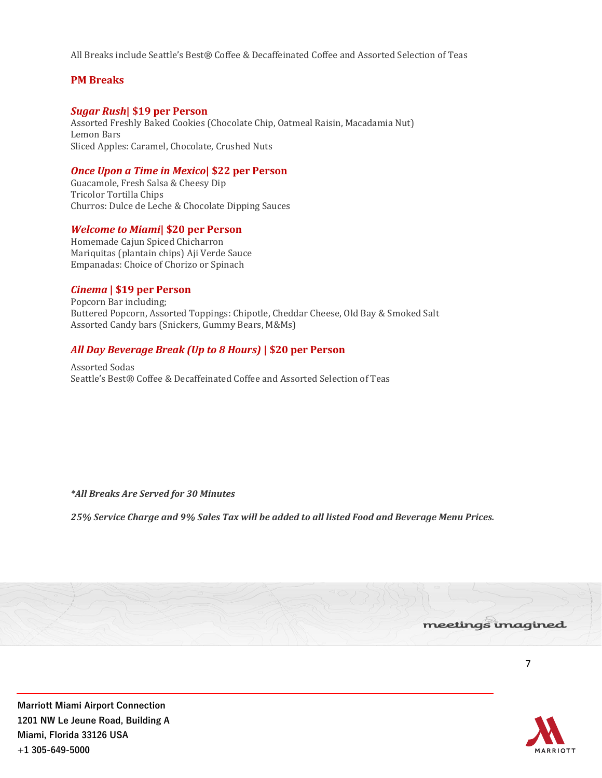All Breaks include Seattle's Best® Coffee & Decaffeinated Coffee and Assorted Selection of Teas

# **PM Breaks**

## *Sugar Rush***| \$19 per Person**

Assorted Freshly Baked Cookies (Chocolate Chip, Oatmeal Raisin, Macadamia Nut) Lemon Bars Sliced Apples: Caramel, Chocolate, Crushed Nuts

## *Once Upon a Time in Mexico***| \$22 per Person**

Guacamole, Fresh Salsa & Cheesy Dip Tricolor Tortilla Chips Churros: Dulce de Leche & Chocolate Dipping Sauces

#### *Welcome to Miami***| \$20 per Person**

Homemade Cajun Spiced Chicharron Mariquitas (plantain chips) Aji Verde Sauce Empanadas: Choice of Chorizo or Spinach

#### *Cinema* **| \$19 per Person**

Popcorn Bar including; Buttered Popcorn, Assorted Toppings: Chipotle, Cheddar Cheese, Old Bay & Smoked Salt Assorted Candy bars (Snickers, Gummy Bears, M&Ms)

## *All Day Beverage Break (Up to 8 Hours)* **| \$20 per Person**

Assorted Sodas Seattle's Best® Coffee & Decaffeinated Coffee and Assorted Selection of Teas

*\*All Breaks Are Served for 30 Minutes*

*25% Service Charge and 9% Sales Tax will be added to all listed Food and Beverage Menu Prices.* 



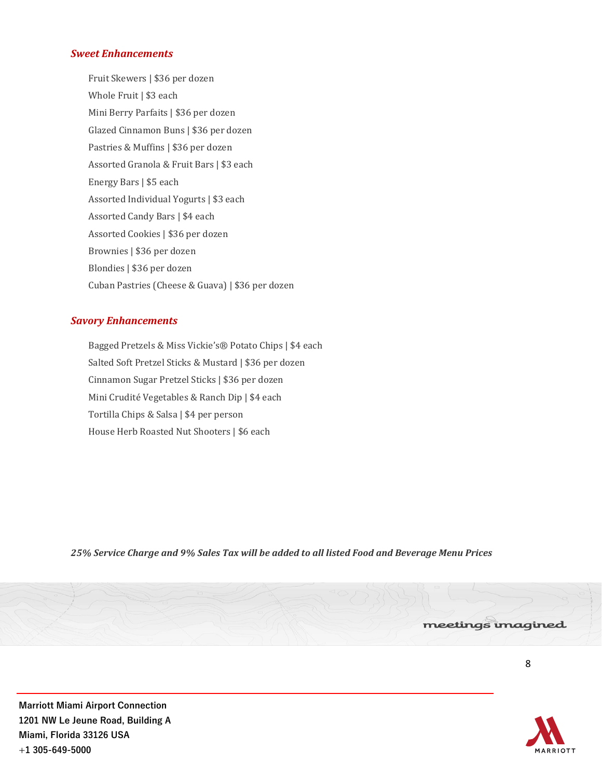## *Sweet Enhancements*

Fruit Skewers | \$36 per dozen Whole Fruit | \$3 each Mini Berry Parfaits | \$36 per dozen Glazed Cinnamon Buns | \$36 per dozen Pastries & Muffins | \$36 per dozen Assorted Granola & Fruit Bars | \$3 each Energy Bars | \$5 each Assorted Individual Yogurts | \$3 each Assorted Candy Bars | \$4 each Assorted Cookies | \$36 per dozen Brownies | \$36 per dozen Blondies | \$36 per dozen Cuban Pastries (Cheese & Guava) | \$36 per dozen

## *Savory Enhancements*

Bagged Pretzels & Miss Vickie's® Potato Chips | \$4 each Salted Soft Pretzel Sticks & Mustard | \$36 per dozen Cinnamon Sugar Pretzel Sticks | \$36 per dozen Mini Crudité Vegetables & Ranch Dip | \$4 each Tortilla Chips & Salsa | \$4 per person House Herb Roasted Nut Shooters | \$6 each

*25% Service Charge and 9% Sales Tax will be added to all listed Food and Beverage Menu Prices*



**Marriott Miami Airport Connection 1201 NW Le Jeune Road, Building A Miami, Florida 33126 USA +1 305-649-5000**

meetings imagined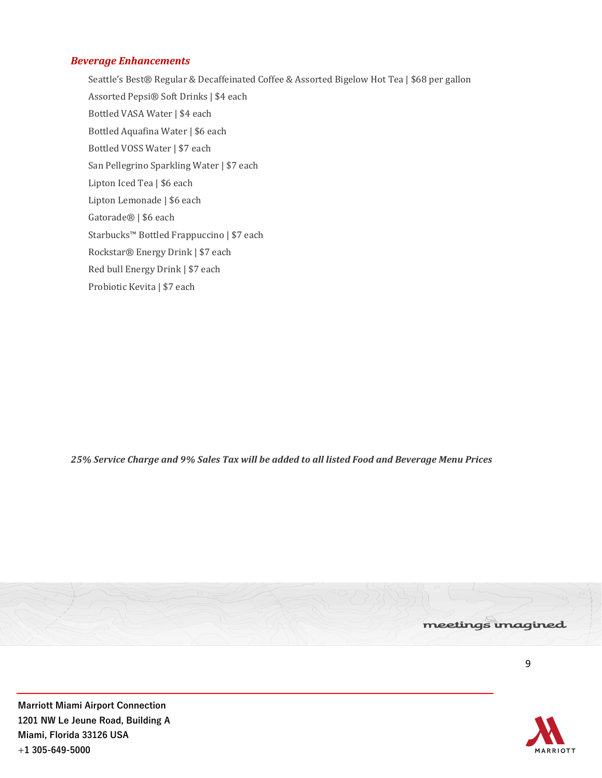## *Beverage Enhancements*

Seattle's Best® Regular & Decaffeinated Coffee & Assorted Bigelow Hot Tea | \$68 per gallon Assorted Pepsi® Soft Drinks | \$4 each Bottled VASA Water | \$4 each Bottled Aquafina Water | \$6 each Bottled VOSS Water | \$7 each San Pellegrino Sparkling Water | \$7 each Lipton Iced Tea | \$6 each Lipton Lemonade | \$6 each Gatorade® | \$6 each Starbucks™ Bottled Frappuccino | \$7 each Rockstar® Energy Drink | \$7 each Red bull Energy Drink | \$7 each Probiotic Kevita | \$7 each

*25% Service Charge and 9% Sales Tax will be added to all listed Food and Beverage Menu Prices*



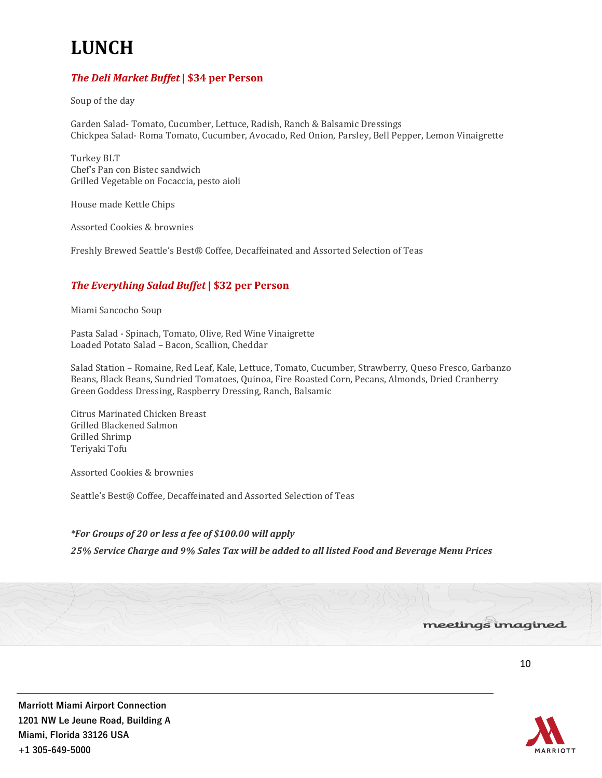# **LUNCH**

# *The Deli Market Buffet***| \$34 per Person**

Soup of the day

Garden Salad- Tomato, Cucumber, Lettuce, Radish, Ranch & Balsamic Dressings Chickpea Salad- Roma Tomato, Cucumber, Avocado, Red Onion, Parsley, Bell Pepper, Lemon Vinaigrette

Turkey BLT Chef's Pan con Bistec sandwich Grilled Vegetable on Focaccia, pesto aioli

House made Kettle Chips

Assorted Cookies & brownies

Freshly Brewed Seattle's Best® Coffee, Decaffeinated and Assorted Selection of Teas

# *The Everything Salad Buffet* **| \$32 per Person**

Miami Sancocho Soup

Pasta Salad - Spinach, Tomato, Olive, Red Wine Vinaigrette Loaded Potato Salad – Bacon, Scallion, Cheddar

Salad Station – Romaine, Red Leaf, Kale, Lettuce, Tomato, Cucumber, Strawberry, Queso Fresco, Garbanzo Beans, Black Beans, Sundried Tomatoes, Quinoa, Fire Roasted Corn, Pecans, Almonds, Dried Cranberry Green Goddess Dressing, Raspberry Dressing, Ranch, Balsamic

Citrus Marinated Chicken Breast Grilled Blackened Salmon Grilled Shrimp Teriyaki Tofu

Assorted Cookies & brownies

Seattle's Best® Coffee, Decaffeinated and Assorted Selection of Teas

## *\*For Groups of 20 or less a fee of \$100.00 will apply*

*25% Service Charge and 9% Sales Tax will be added to all listed Food and Beverage Menu Prices*



**Marriott Miami Airport Connection 1201 NW Le Jeune Road, Building A Miami, Florida 33126 USA +1 305-649-5000**

meetings imagined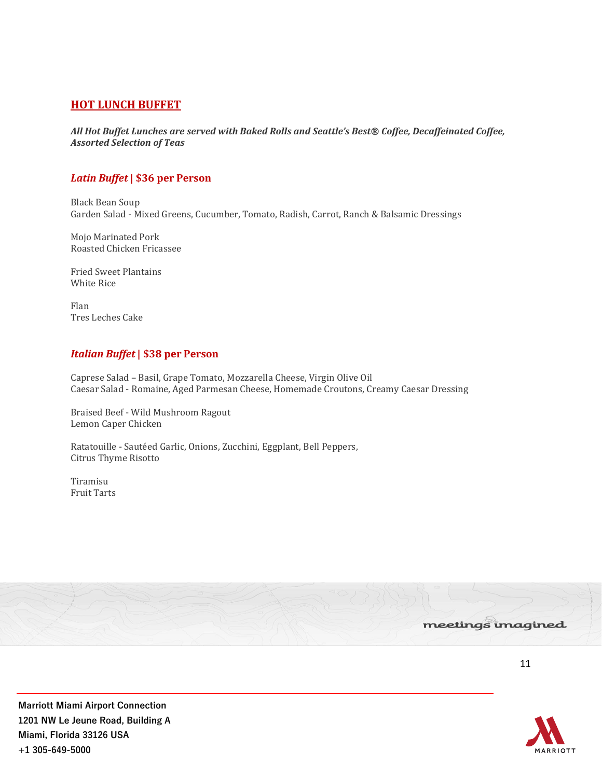# **HOT LUNCH BUFFET**

*All Hot Buffet Lunches are served with Baked Rolls and Seattle's Best® Coffee, Decaffeinated Coffee, Assorted Selection of Teas*

# *Latin Buffet***| \$36 per Person**

Black Bean Soup Garden Salad - Mixed Greens, Cucumber, Tomato, Radish, Carrot, Ranch & Balsamic Dressings

Mojo Marinated Pork Roasted Chicken Fricassee

Fried Sweet Plantains White Rice

Flan Tres Leches Cake

## *Italian Buffet***| \$38 per Person**

Caprese Salad – Basil, Grape Tomato, Mozzarella Cheese, Virgin Olive Oil Caesar Salad - Romaine, Aged Parmesan Cheese, Homemade Croutons, Creamy Caesar Dressing

Braised Beef - Wild Mushroom Ragout Lemon Caper Chicken

Ratatouille - Sautéed Garlic, Onions, Zucchini, Eggplant, Bell Peppers, Citrus Thyme Risotto

Tiramisu Fruit Tarts



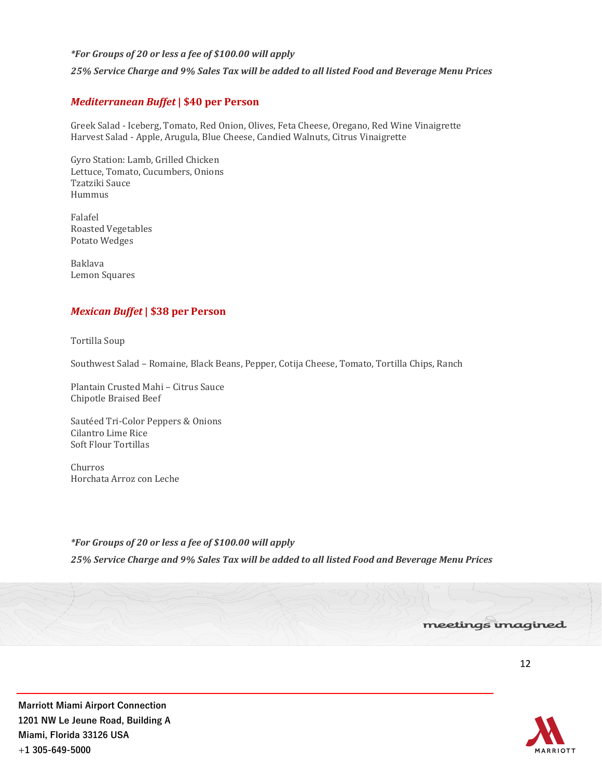#### *\*For Groups of 20 or less a fee of \$100.00 will apply*

*25% Service Charge and 9% Sales Tax will be added to all listed Food and Beverage Menu Prices*

#### *Mediterranean Buffet* **| \$40 per Person**

Greek Salad - Iceberg, Tomato, Red Onion, Olives, Feta Cheese, Oregano, Red Wine Vinaigrette Harvest Salad - Apple, Arugula, Blue Cheese, Candied Walnuts, Citrus Vinaigrette

Gyro Station: Lamb, Grilled Chicken Lettuce, Tomato, Cucumbers, Onions Tzatziki Sauce Hummus

Falafel Roasted Vegetables Potato Wedges

Baklava Lemon Squares

## *Mexican Buffet* **| \$38 per Person**

Tortilla Soup

Southwest Salad – Romaine, Black Beans, Pepper, Cotija Cheese, Tomato, Tortilla Chips, Ranch

Plantain Crusted Mahi – Citrus Sauce Chipotle Braised Beef

Sautéed Tri-Color Peppers & Onions Cilantro Lime Rice Soft Flour Tortillas

Churros Horchata Arroz con Leche

#### *\*For Groups of 20 or less a fee of \$100.00 will apply*

*25% Service Charge and 9% Sales Tax will be added to all listed Food and Beverage Menu Prices*



12

meetings imagined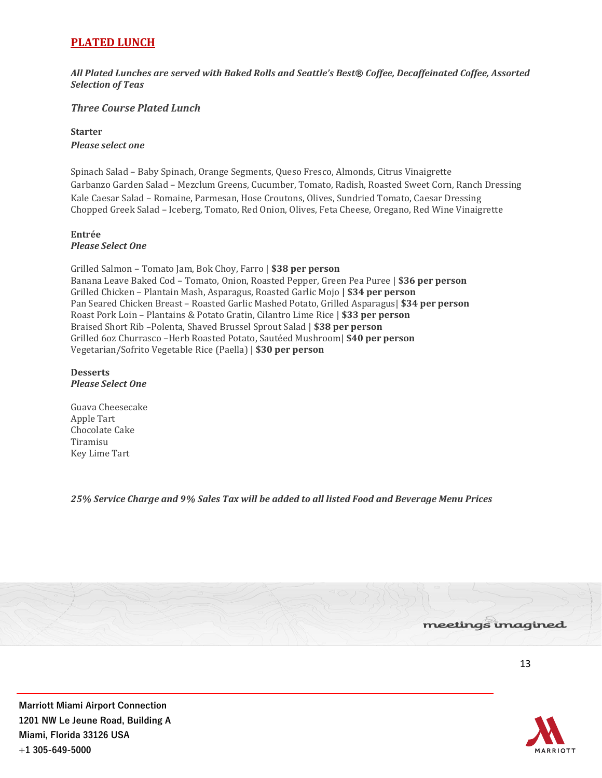# **PLATED LUNCH**

*All Plated Lunches are served with Baked Rolls and Seattle's Best® Coffee, Decaffeinated Coffee, Assorted Selection of Teas*

# *Three Course Plated Lunch*

## **Starter**  *Please select one*

Spinach Salad – Baby Spinach, Orange Segments, Queso Fresco, Almonds, Citrus Vinaigrette Garbanzo Garden Salad – Mezclum Greens, Cucumber, Tomato, Radish, Roasted Sweet Corn, Ranch Dressing Kale Caesar Salad – Romaine, Parmesan, Hose Croutons, Olives, Sundried Tomato, Caesar Dressing Chopped Greek Salad – Iceberg, Tomato, Red Onion, Olives, Feta Cheese, Oregano, Red Wine Vinaigrette

#### **Entrée** *Please Select One*

Grilled Salmon – Tomato Jam, Bok Choy, Farro | **\$38 per person**  Banana Leave Baked Cod – Tomato, Onion, Roasted Pepper, Green Pea Puree | **\$36 per person**  Grilled Chicken – Plantain Mash, Asparagus, Roasted Garlic Mojo **| \$34 per person**  Pan Seared Chicken Breast – Roasted Garlic Mashed Potato, Grilled Asparagus| **\$34 per person**  Roast Pork Loin – Plantains & Potato Gratin, Cilantro Lime Rice | **\$33 per person** Braised Short Rib –Polenta, Shaved Brussel Sprout Salad | **\$38 per person** Grilled 6oz Churrasco –Herb Roasted Potato, Sautéed Mushroom| **\$40 per person** Vegetarian/Sofrito Vegetable Rice (Paella) | **\$30 per person**

#### **Desserts** *Please Select One*

Guava Cheesecake Apple Tart Chocolate Cake Tiramisu Key Lime Tart

*25% Service Charge and 9% Sales Tax will be added to all listed Food and Beverage Menu Prices*



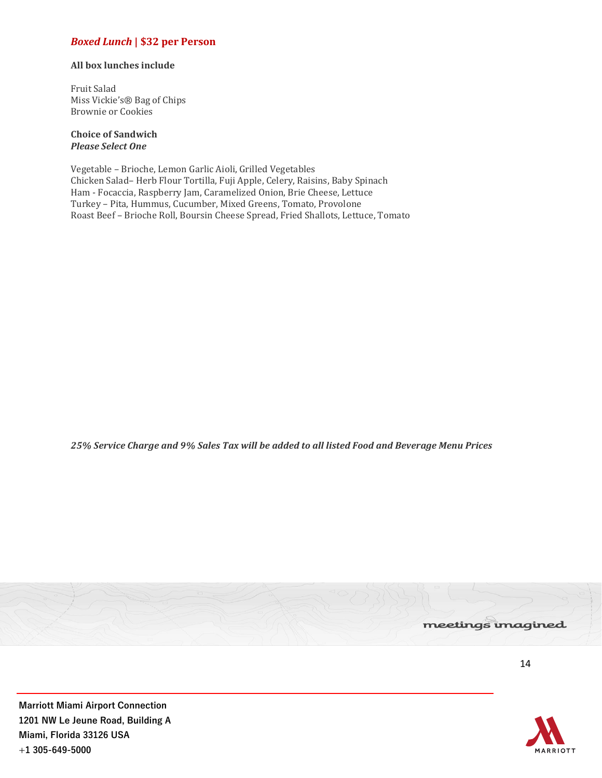# *Boxed Lunch* **| \$32 per Person**

#### **All box lunches include**

Fruit Salad Miss Vickie's® Bag of Chips Brownie or Cookies

#### **Choice of Sandwich** *Please Select One*

Vegetable – Brioche, Lemon Garlic Aioli, Grilled Vegetables Chicken Salad– Herb Flour Tortilla, Fuji Apple, Celery, Raisins, Baby Spinach Ham - Focaccia, Raspberry Jam, Caramelized Onion, Brie Cheese, Lettuce Turkey – Pita, Hummus, Cucumber, Mixed Greens, Tomato, Provolone Roast Beef – Brioche Roll, Boursin Cheese Spread, Fried Shallots, Lettuce, Tomato

*25% Service Charge and 9% Sales Tax will be added to all listed Food and Beverage Menu Prices*



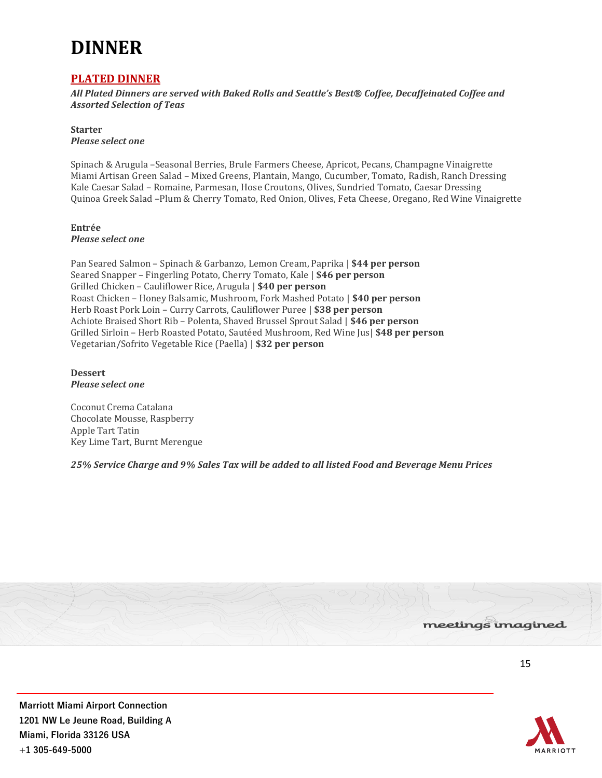# **DINNER**

# **PLATED DINNER**

*All Plated Dinners are served with Baked Rolls and Seattle's Best® Coffee, Decaffeinated Coffee and Assorted Selection of Teas*

**Starter** *Please select one* 

Spinach & Arugula –Seasonal Berries, Brule Farmers Cheese, Apricot, Pecans, Champagne Vinaigrette Miami Artisan Green Salad – Mixed Greens, Plantain, Mango, Cucumber, Tomato, Radish, Ranch Dressing Kale Caesar Salad – Romaine, Parmesan, Hose Croutons, Olives, Sundried Tomato, Caesar Dressing Quinoa Greek Salad –Plum & Cherry Tomato, Red Onion, Olives, Feta Cheese, Oregano, Red Wine Vinaigrette

**Entrée** *Please select one* 

Pan Seared Salmon – Spinach & Garbanzo, Lemon Cream, Paprika | **\$44 per person**  Seared Snapper – Fingerling Potato, Cherry Tomato, Kale | **\$46 per person** Grilled Chicken – Cauliflower Rice, Arugula | **\$40 per person** Roast Chicken – Honey Balsamic, Mushroom, Fork Mashed Potato | **\$40 per person**  Herb Roast Pork Loin – Curry Carrots, Cauliflower Puree | **\$38 per person** Achiote Braised Short Rib – Polenta, Shaved Brussel Sprout Salad | **\$46 per person**  Grilled Sirloin – Herb Roasted Potato, Sautéed Mushroom, Red Wine Jus| **\$48 per person** Vegetarian/Sofrito Vegetable Rice (Paella) | **\$32 per person**

**Dessert**  *Please select one* 

Coconut Crema Catalana Chocolate Mousse, Raspberry Apple Tart Tatin Key Lime Tart, Burnt Merengue

*25% Service Charge and 9% Sales Tax will be added to all listed Food and Beverage Menu Prices*

![](_page_14_Picture_10.jpeg)

**ARRIOTT**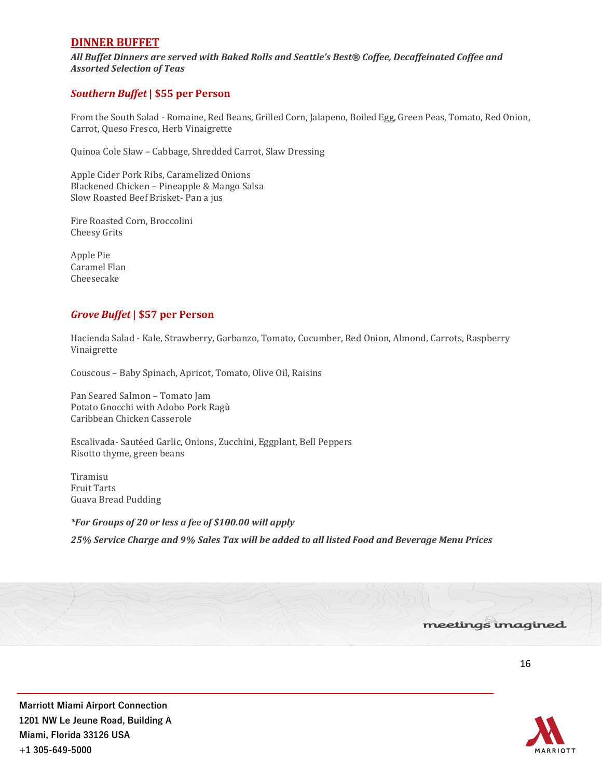# **DINNER BUFFET**

*All Buffet Dinners are served with Baked Rolls and Seattle's Best® Coffee, Decaffeinated Coffee and Assorted Selection of Teas*

## *Southern Buffet***| \$55 per Person**

From the South Salad - Romaine, Red Beans, Grilled Corn, Jalapeno, Boiled Egg, Green Peas, Tomato, Red Onion, Carrot, Queso Fresco, Herb Vinaigrette

Quinoa Cole Slaw – Cabbage, Shredded Carrot, Slaw Dressing

Apple Cider Pork Ribs, Caramelized Onions Blackened Chicken – Pineapple & Mango Salsa Slow Roasted Beef Brisket- Pan a jus

Fire Roasted Corn, Broccolini Cheesy Grits

Apple Pie Caramel Flan Cheesecake

## *Grove Buffet* **| \$57 per Person**

Hacienda Salad - Kale, Strawberry, Garbanzo, Tomato, Cucumber, Red Onion, Almond, Carrots, Raspberry Vinaigrette

Couscous – Baby Spinach, Apricot, Tomato, Olive Oil, Raisins

Pan Seared Salmon – Tomato Jam Potato Gnocchi with Adobo Pork Ragù Caribbean Chicken Casserole

Escalivada- Sautéed Garlic, Onions, Zucchini, Eggplant, Bell Peppers Risotto thyme, green beans

Tiramisu Fruit Tarts Guava Bread Pudding

*\*For Groups of 20 or less a fee of \$100.00 will apply*

*25% Service Charge and 9% Sales Tax will be added to all listed Food and Beverage Menu Prices*

![](_page_15_Picture_16.jpeg)

![](_page_15_Picture_18.jpeg)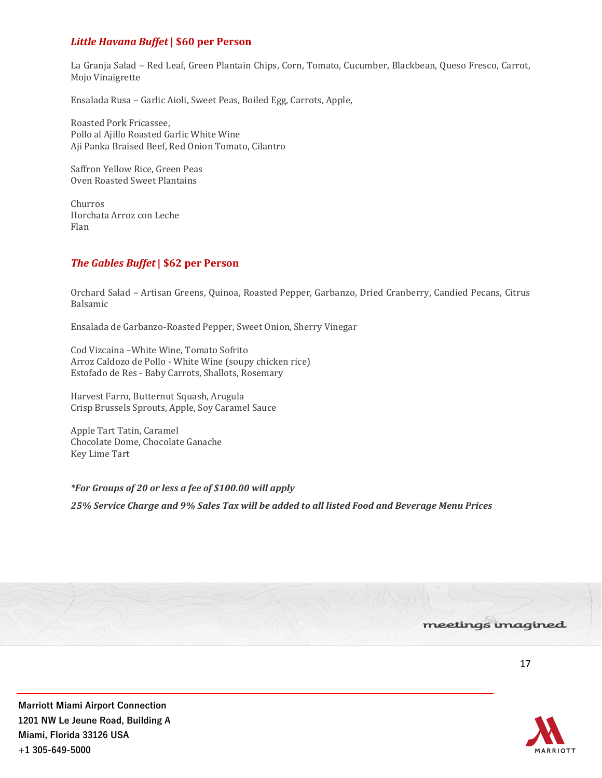# *Little Havana Buffet***| \$60 per Person**

La Granja Salad – Red Leaf, Green Plantain Chips, Corn, Tomato, Cucumber, Blackbean, Queso Fresco, Carrot, Mojo Vinaigrette

Ensalada Rusa – Garlic Aioli, Sweet Peas, Boiled Egg, Carrots, Apple,

Roasted Pork Fricassee, Pollo al Ajillo Roasted Garlic White Wine Aji Panka Braised Beef, Red Onion Tomato, Cilantro

Saffron Yellow Rice, Green Peas Oven Roasted Sweet Plantains

Churros Horchata Arroz con Leche Flan

# *The Gables Buffet***| \$62 per Person**

Orchard Salad – Artisan Greens, Quinoa, Roasted Pepper, Garbanzo, Dried Cranberry, Candied Pecans, Citrus Balsamic

Ensalada de Garbanzo-Roasted Pepper, Sweet Onion, Sherry Vinegar

Cod Vizcaina –White Wine, Tomato Sofrito Arroz Caldozo de Pollo - White Wine (soupy chicken rice) Estofado de Res - Baby Carrots, Shallots, Rosemary

Harvest Farro, Butternut Squash, Arugula Crisp Brussels Sprouts, Apple, Soy Caramel Sauce

Apple Tart Tatin, Caramel Chocolate Dome, Chocolate Ganache Key Lime Tart

*\*For Groups of 20 or less a fee of \$100.00 will apply*

*25% Service Charge and 9% Sales Tax will be added to all listed Food and Beverage Menu Prices*

![](_page_16_Picture_14.jpeg)

![](_page_16_Picture_17.jpeg)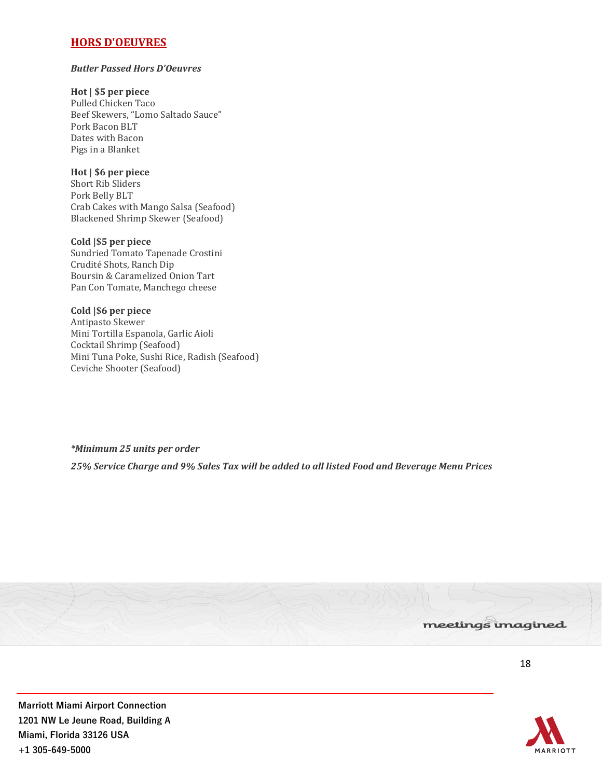# **HORS D'OEUVRES**

#### *Butler Passed Hors D'Oeuvres*

### **Hot | \$5 per piece**

Pulled Chicken Taco Beef Skewers, "Lomo Saltado Sauce" Pork Bacon BLT Dates with Bacon Pigs in a Blanket

### **Hot | \$6 per piece**

Short Rib Sliders Pork Belly BLT Crab Cakes with Mango Salsa (Seafood) Blackened Shrimp Skewer (Seafood)

#### **Cold |\$5 per piece**

Sundried Tomato Tapenade Crostini Crudité Shots, Ranch Dip Boursin & Caramelized Onion Tart Pan Con Tomate, Manchego cheese

## **Cold |\$6 per piece**

Antipasto Skewer Mini Tortilla Espanola, Garlic Aioli Cocktail Shrimp (Seafood) Mini Tuna Poke, Sushi Rice, Radish (Seafood) Ceviche Shooter (Seafood)

*\*Minimum 25 units per order 25% Service Charge and 9% Sales Tax will be added to all listed Food and Beverage Menu Prices*

![](_page_17_Picture_11.jpeg)

![](_page_17_Picture_14.jpeg)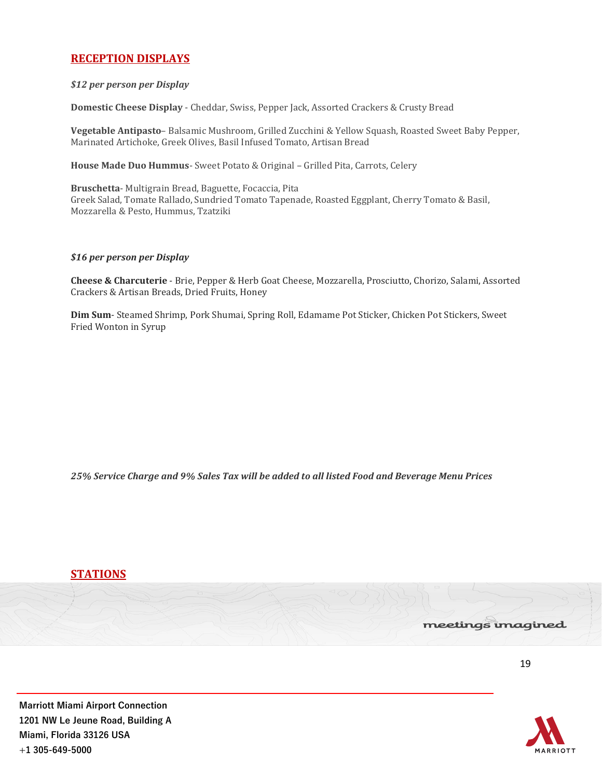# **RECEPTION DISPLAYS**

#### *\$12 per person per Display*

**Domestic Cheese Display** - Cheddar, Swiss, Pepper Jack, Assorted Crackers & Crusty Bread

**Vegetable Antipasto**– Balsamic Mushroom, Grilled Zucchini & Yellow Squash, Roasted Sweet Baby Pepper, Marinated Artichoke, Greek Olives, Basil Infused Tomato, Artisan Bread

**House Made Duo Hummus**- Sweet Potato & Original – Grilled Pita, Carrots, Celery

**Bruschetta**- Multigrain Bread, Baguette, Focaccia, Pita Greek Salad, Tomate Rallado, Sundried Tomato Tapenade, Roasted Eggplant, Cherry Tomato & Basil, Mozzarella & Pesto, Hummus, Tzatziki

#### *\$16 per person per Display*

**Cheese & Charcuterie** - Brie, Pepper & Herb Goat Cheese, Mozzarella, Prosciutto, Chorizo, Salami, Assorted Crackers & Artisan Breads, Dried Fruits, Honey

**Dim Sum**- Steamed Shrimp, Pork Shumai, Spring Roll, Edamame Pot Sticker, Chicken Pot Stickers, Sweet Fried Wonton in Syrup

*25% Service Charge and 9% Sales Tax will be added to all listed Food and Beverage Menu Prices*

**STATIONS**

#### meetings imagined

19

![](_page_18_Picture_13.jpeg)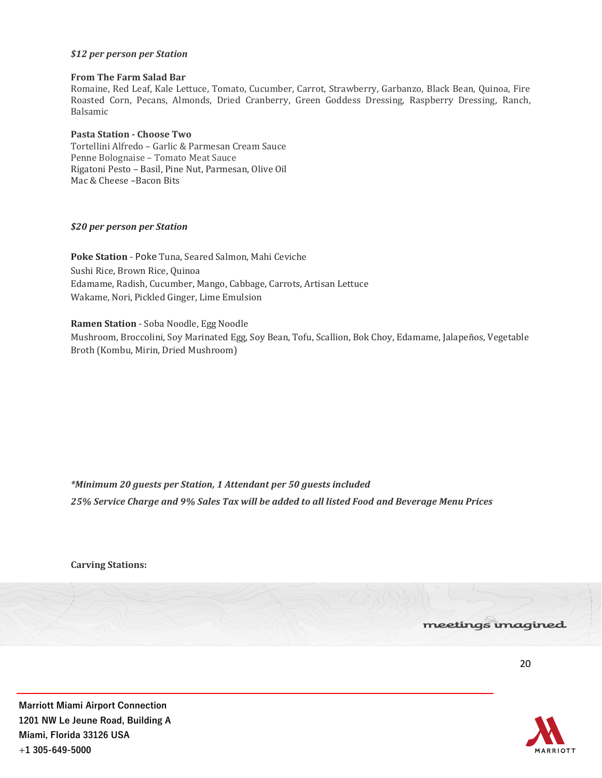#### *\$12 per person per Station*

#### **From The Farm Salad Bar**

Romaine, Red Leaf, Kale Lettuce, Tomato, Cucumber, Carrot, Strawberry, Garbanzo, Black Bean, Quinoa, Fire Roasted Corn, Pecans, Almonds, Dried Cranberry, Green Goddess Dressing, Raspberry Dressing, Ranch, Balsamic

#### **Pasta Station - Choose Two**

Tortellini Alfredo – Garlic & Parmesan Cream Sauce Penne Bolognaise – Tomato Meat Sauce Rigatoni Pesto – Basil, Pine Nut, Parmesan, Olive Oil Mac & Cheese –Bacon Bits

#### *\$20 per person per Station*

**Poke Station** - Poke Tuna, Seared Salmon, Mahi Ceviche Sushi Rice, Brown Rice, Quinoa Edamame, Radish, Cucumber, Mango, Cabbage, Carrots, Artisan Lettuce Wakame, Nori, Pickled Ginger, Lime Emulsion

**Ramen Station** - Soba Noodle, Egg Noodle Mushroom, Broccolini, Soy Marinated Egg, Soy Bean, Tofu, Scallion, Bok Choy, Edamame, Jalapeños, Vegetable Broth (Kombu, Mirin, Dried Mushroom)

*\*Minimum 20 guests per Station, 1 Attendant per 50 guests included 25% Service Charge and 9% Sales Tax will be added to all listed Food and Beverage Menu Prices*

**Carving Stations:**

#### meetings imagined

20

![](_page_19_Picture_13.jpeg)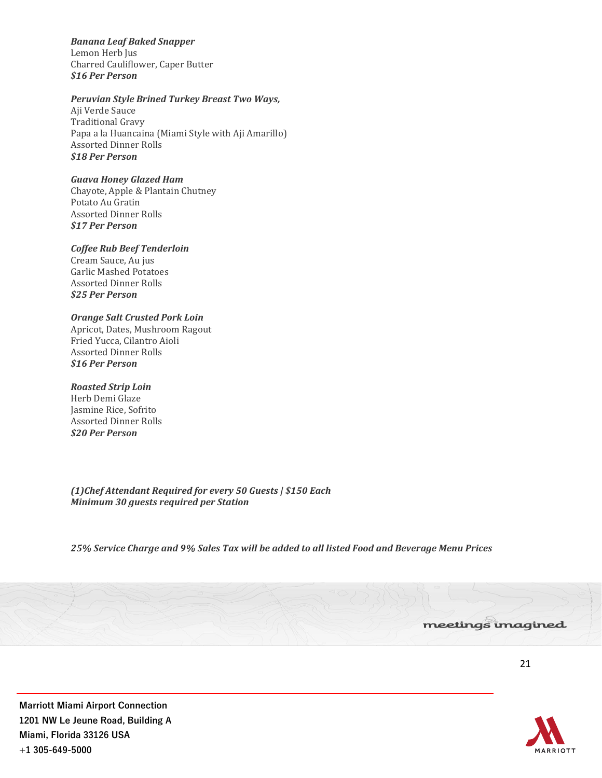*Banana Leaf Baked Snapper* Lemon Herb Jus Charred Cauliflower, Caper Butter *\$16 Per Person*

#### *Peruvian Style Brined Turkey Breast Two Ways,*

Aji Verde Sauce Traditional Gravy Papa a la Huancaina (Miami Style with Aji Amarillo) Assorted Dinner Rolls *\$18 Per Person*

#### *Guava Honey Glazed Ham*

Chayote, Apple & Plantain Chutney Potato Au Gratin Assorted Dinner Rolls *\$17 Per Person*

#### *Coffee Rub Beef Tenderloin*

Cream Sauce, Au jus Garlic Mashed Potatoes Assorted Dinner Rolls *\$25 Per Person*

#### *Orange Salt Crusted Pork Loin*

Apricot, Dates, Mushroom Ragout Fried Yucca, Cilantro Aioli Assorted Dinner Rolls *\$16 Per Person*

#### *Roasted Strip Loin*

Herb Demi Glaze Jasmine Rice, Sofrito Assorted Dinner Rolls *\$20 Per Person*

*(1)Chef Attendant Required for every 50 Guests | \$150 Each Minimum 30 guests required per Station*

*25% Service Charge and 9% Sales Tax will be added to all listed Food and Beverage Menu Prices*

![](_page_20_Picture_13.jpeg)

**IARRIOTT**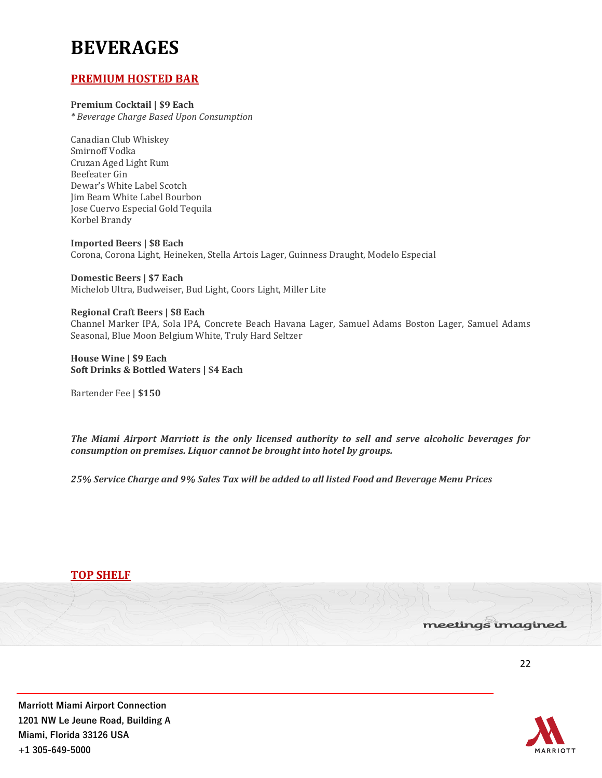# **BEVERAGES**

# **PREMIUM HOSTED BAR**

### **Premium Cocktail | \$9 Each**

*\* Beverage Charge Based Upon Consumption*

Canadian Club Whiskey Smirnoff Vodka Cruzan Aged Light Rum Beefeater Gin Dewar's White Label Scotch Jim Beam White Label Bourbon Jose Cuervo Especial Gold Tequila Korbel Brandy

**Imported Beers | \$8 Each** Corona, Corona Light, Heineken, Stella Artois Lager, Guinness Draught, Modelo Especial

**Domestic Beers | \$7 Each** Michelob Ultra, Budweiser, Bud Light, Coors Light, Miller Lite

**Regional Craft Beers | \$8 Each**  Channel Marker IPA, Sola IPA, Concrete Beach Havana Lager, Samuel Adams Boston Lager, Samuel Adams Seasonal, Blue Moon Belgium White, Truly Hard Seltzer

**House Wine | \$9 Each Soft Drinks & Bottled Waters | \$4 Each**

Bartender Fee | **\$150**

*The Miami Airport Marriott is the only licensed authority to sell and serve alcoholic beverages for consumption on premises. Liquor cannot be brought into hotel by groups.*

*25% Service Charge and 9% Sales Tax will be added to all listed Food and Beverage Menu Prices*

![](_page_21_Picture_12.jpeg)

![](_page_21_Picture_15.jpeg)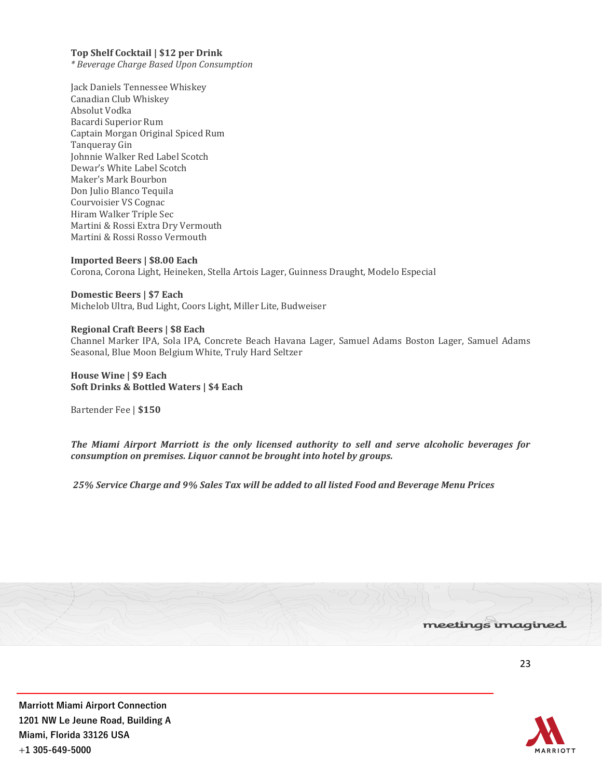#### **Top Shelf Cocktail | \$12 per Drink**

*\* Beverage Charge Based Upon Consumption*

Jack Daniels Tennessee Whiskey Canadian Club Whiskey Absolut Vodka Bacardi Superior Rum Captain Morgan Original Spiced Rum Tanqueray Gin Johnnie Walker Red Label Scotch Dewar's White Label Scotch Maker's Mark Bourbon Don Julio Blanco Tequila Courvoisier VS Cognac Hiram Walker Triple Sec Martini & Rossi Extra Dry Vermouth Martini & Rossi Rosso Vermouth

**Imported Beers | \$8.00 Each** Corona, Corona Light, Heineken, Stella Artois Lager, Guinness Draught, Modelo Especial

**Domestic Beers | \$7 Each** Michelob Ultra, Bud Light, Coors Light, Miller Lite, Budweiser

#### **Regional Craft Beers | \$8 Each**  Channel Marker IPA, Sola IPA, Concrete Beach Havana Lager, Samuel Adams Boston Lager, Samuel Adams Seasonal, Blue Moon Belgium White, Truly Hard Seltzer

**House Wine | \$9 Each Soft Drinks & Bottled Waters | \$4 Each**

Bartender Fee | **\$150**

*The Miami Airport Marriott is the only licensed authority to sell and serve alcoholic beverages for consumption on premises. Liquor cannot be brought into hotel by groups.*

*25% Service Charge and 9% Sales Tax will be added to all listed Food and Beverage Menu Prices*

![](_page_22_Picture_10.jpeg)

![](_page_22_Picture_12.jpeg)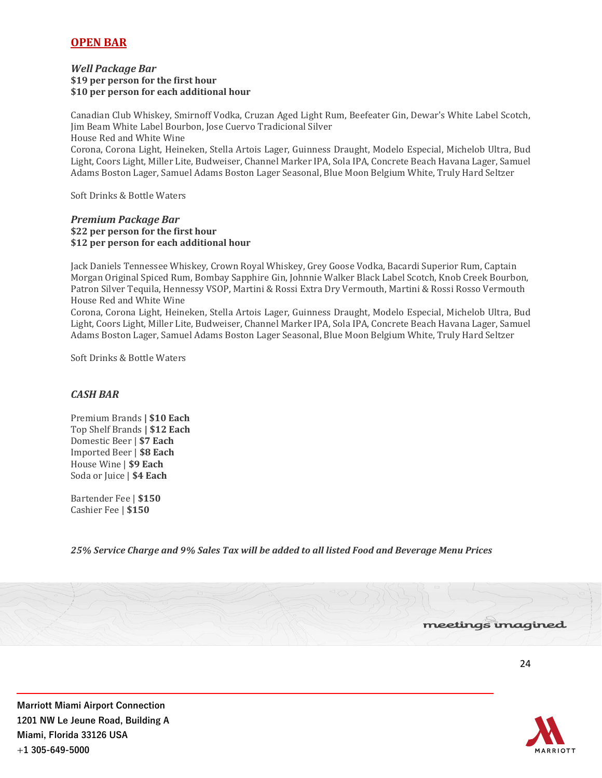# **OPEN BAR**

#### *Well Package Bar* **\$19 per person for the first hour \$10 per person for each additional hour**

Canadian Club Whiskey, Smirnoff Vodka, Cruzan Aged Light Rum, Beefeater Gin, Dewar's White Label Scotch, Jim Beam White Label Bourbon, Jose Cuervo Tradicional Silver

House Red and White Wine

Corona, Corona Light, Heineken, Stella Artois Lager, Guinness Draught, Modelo Especial, Michelob Ultra, Bud Light, Coors Light, Miller Lite, Budweiser, Channel Marker IPA, Sola IPA, Concrete Beach Havana Lager, Samuel Adams Boston Lager, Samuel Adams Boston Lager Seasonal, Blue Moon Belgium White, Truly Hard Seltzer

Soft Drinks & Bottle Waters

#### *Premium Package Bar* **\$22 per person for the first hour \$12 per person for each additional hour**

Jack Daniels Tennessee Whiskey, Crown Royal Whiskey, Grey Goose Vodka, Bacardi Superior Rum, Captain Morgan Original Spiced Rum, Bombay Sapphire Gin, Johnnie Walker Black Label Scotch, Knob Creek Bourbon, Patron Silver Tequila, Hennessy VSOP, Martini & Rossi Extra Dry Vermouth, Martini & Rossi Rosso Vermouth House Red and White Wine

Corona, Corona Light, Heineken, Stella Artois Lager, Guinness Draught, Modelo Especial, Michelob Ultra, Bud Light, Coors Light, Miller Lite, Budweiser, Channel Marker IPA, Sola IPA, Concrete Beach Havana Lager, Samuel Adams Boston Lager, Samuel Adams Boston Lager Seasonal, Blue Moon Belgium White, Truly Hard Seltzer

Soft Drinks & Bottle Waters

## *CASH BAR*

Premium Brands **| \$10 Each** Top Shelf Brands **| \$12 Each** Domestic Beer | **\$7 Each** Imported Beer | **\$8 Each** House Wine | **\$9 Each** Soda or Juice | **\$4 Each**

Bartender Fee | **\$150** Cashier Fee | **\$150**

*25% Service Charge and 9% Sales Tax will be added to all listed Food and Beverage Menu Prices*

![](_page_23_Picture_14.jpeg)

![](_page_23_Picture_17.jpeg)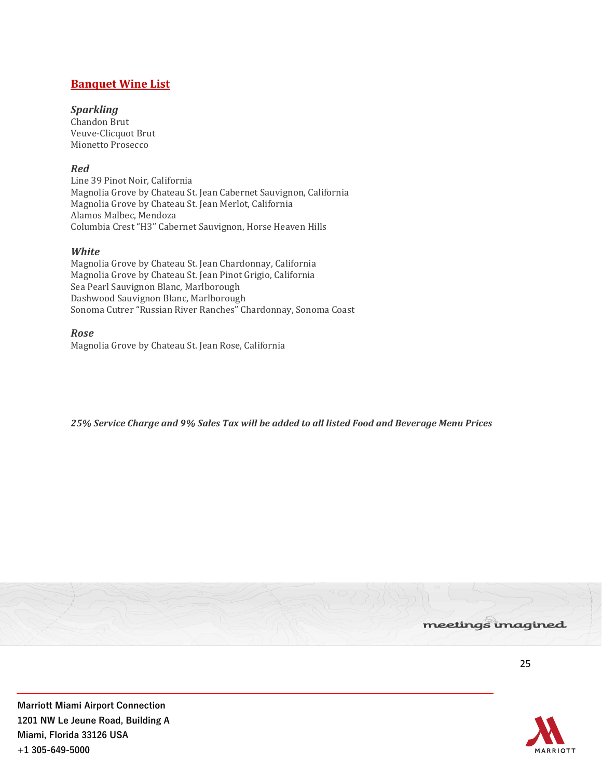# **Banquet Wine List**

## *Sparkling*

Chandon Brut Veuve-Clicquot Brut Mionetto Prosecco

# *Red*

Line 39 Pinot Noir, California Magnolia Grove by Chateau St. Jean Cabernet Sauvignon, California Magnolia Grove by Chateau St. Jean Merlot, California Alamos Malbec, Mendoza Columbia Crest "H3" Cabernet Sauvignon, Horse Heaven Hills

## *White*

Magnolia Grove by Chateau St. Jean Chardonnay, California Magnolia Grove by Chateau St. Jean Pinot Grigio, California Sea Pearl Sauvignon Blanc, Marlborough Dashwood Sauvignon Blanc, Marlborough Sonoma Cutrer "Russian River Ranches" Chardonnay, Sonoma Coast

*Rose* Magnolia Grove by Chateau St. Jean Rose, California

*25% Service Charge and 9% Sales Tax will be added to all listed Food and Beverage Menu Prices*

![](_page_24_Picture_9.jpeg)

![](_page_24_Picture_11.jpeg)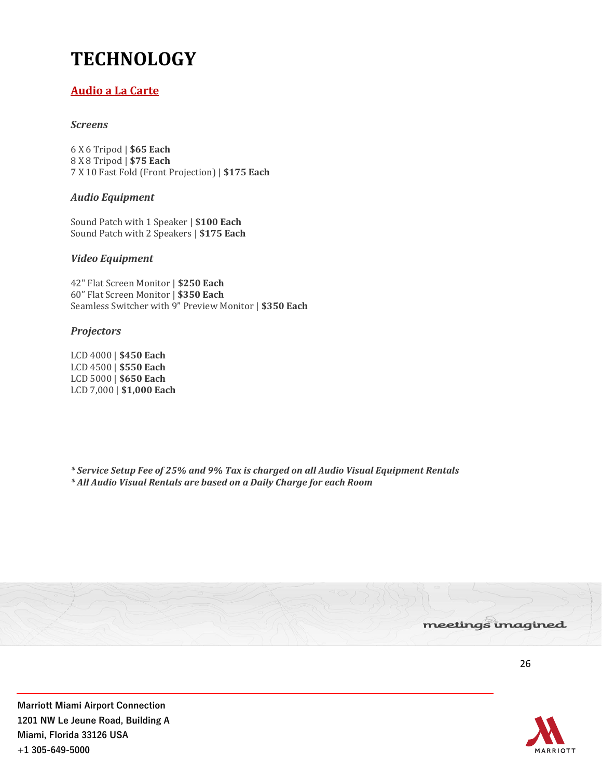# **TECHNOLOGY**

# **Audio a La Carte**

# *Screens*

6 X 6 Tripod | **\$65 Each** 8 X 8 Tripod | **\$75 Each** 7 X 10 Fast Fold (Front Projection) | **\$175 Each**

# *Audio Equipment*

Sound Patch with 1 Speaker | **\$100 Each** Sound Patch with 2 Speakers | **\$175 Each**

## *Video Equipment*

42" Flat Screen Monitor | **\$250 Each** 60" Flat Screen Monitor | **\$350 Each** Seamless Switcher with 9" Preview Monitor | **\$350 Each**

## *Projectors*

LCD 4000 | **\$450 Each** LCD 4500 | **\$550 Each** LCD 5000 | **\$650 Each** LCD 7,000 | **\$1,000 Each**

*\* Service Setup Fee of 25% and 9% Tax is charged on all Audio Visual Equipment Rentals \* All Audio Visual Rentals are based on a Daily Charge for each Room*

![](_page_25_Picture_11.jpeg)

![](_page_25_Picture_13.jpeg)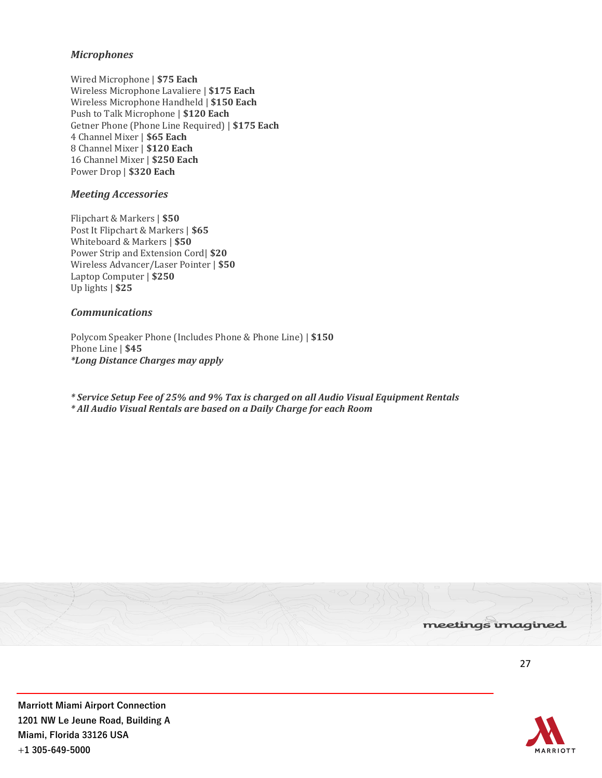## *Microphones*

Wired Microphone | **\$75 Each** Wireless Microphone Lavaliere | **\$175 Each** Wireless Microphone Handheld | **\$150 Each** Push to Talk Microphone | **\$120 Each** Getner Phone (Phone Line Required) | **\$175 Each** 4 Channel Mixer | **\$65 Each** 8 Channel Mixer | **\$120 Each** 16 Channel Mixer | **\$250 Each** Power Drop | **\$320 Each**

## *Meeting Accessories*

Flipchart & Markers | **\$50** Post It Flipchart & Markers | **\$65** Whiteboard & Markers | **\$50** Power Strip and Extension Cord| **\$20** Wireless Advancer/Laser Pointer | **\$50** Laptop Computer | **\$250** Up lights | **\$25**

#### *Communications*

Polycom Speaker Phone (Includes Phone & Phone Line) | **\$150** Phone Line | **\$45** *\*Long Distance Charges may apply*

*\* Service Setup Fee of 25% and 9% Tax is charged on all Audio Visual Equipment Rentals \* All Audio Visual Rentals are based on a Daily Charge for each Room*

![](_page_26_Picture_7.jpeg)

![](_page_26_Picture_9.jpeg)